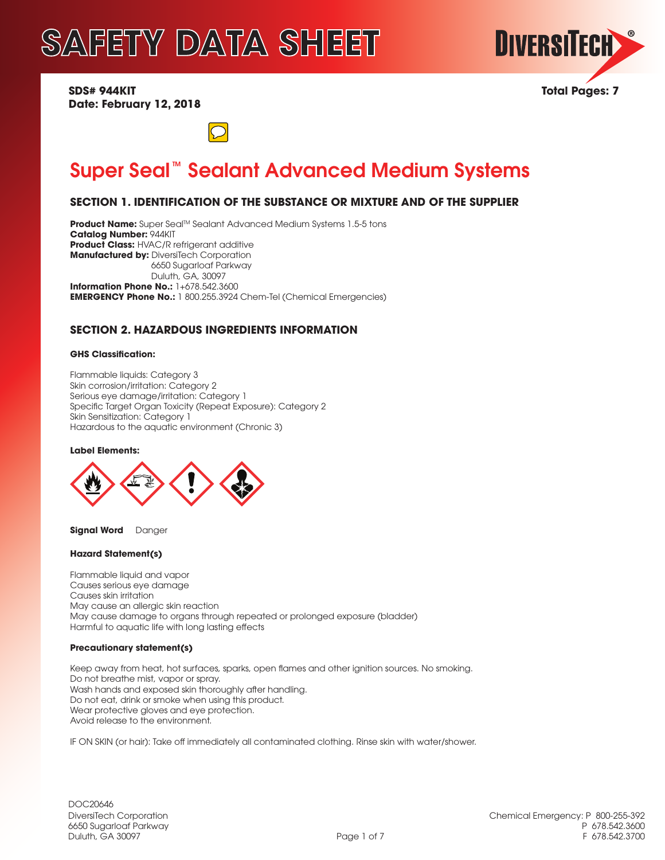

**SDS# 944KIT Total Pages: 7 Date: February 12, 2018**



# Super Seal<sup>™</sup> Sealant Advanced Medium Systems

# **SECTION 1. IDENTIFICATION OF THE SUBSTANCE OR MIXTURE AND OF THE SUPPLIER**

**Product Name:** Super Seal™ Sealant Advanced Medium Systems 1.5-5 tons **Catalog Number:** 944KIT **Product Class:** HVAC/R refrigerant additive **Manufactured by: DiversiTech Corporation**  6650 Sugarloaf Parkway Duluth, GA, 30097 **Information Phone No.:** 1+678.542.3600 **EMERGENCY Phone No.:** 1 800.255.3924 Chem-Tel (Chemical Emergencies)

## **SECTION 2. HAZARDOUS INGREDIENTS INFORMATION**

### **GHS Classification:**

Flammable liquids: Category 3 Skin corrosion/irritation: Category 2 Serious eye damage/irritation: Category 1 Specific Target Organ Toxicity (Repeat Exposure): Category 2 Skin Sensitization: Category 1 Hazardous to the aquatic environment (Chronic 3)

### **Label Elements:**



**Signal Word** Danger

### **Hazard Statement(s)**

Flammable liquid and vapor Causes serious eye damage Causes skin irritation May cause an allergic skin reaction May cause damage to organs through repeated or prolonged exposure (bladder) Harmful to aquatic life with long lasting effects

### **Precautionary statement(s)**

Keep away from heat, hot surfaces, sparks, open flames and other ignition sources. No smoking. Do not breathe mist, vapor or spray. Wash hands and exposed skin thoroughly after handling. Do not eat, drink or smoke when using this product. Wear protective gloves and eye protection. Avoid release to the environment.

IF ON SKIN (or hair): Take off immediately all contaminated clothing. Rinse skin with water/shower.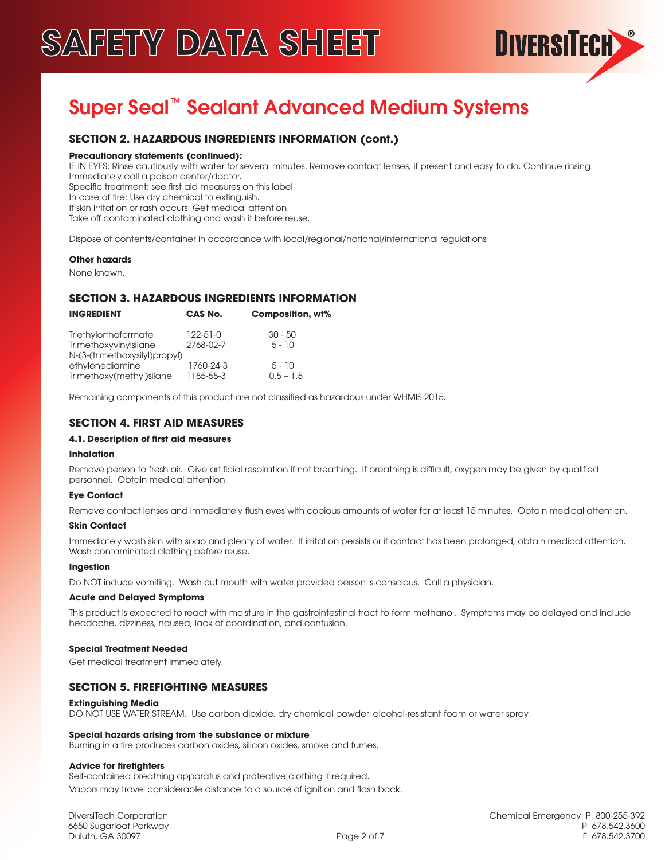

# Super Seal<sup>™</sup> Sealant Advanced Medium Systems

# **SECTION 2. HAZARDOUS INGREDIENTS INFORMATION (cont.)**

### **Precautionary statements (continued):**

IF IN EYES: Rinse cautiously with water for several minutes. Remove contact lenses, if present and easy to do. Continue rinsing. Immediately call a poison center/doctor.

Specific treatment: see first aid measures on this label.

In case of fire: Use dry chemical to extinguish.

If skin irritation or rash occurs: Get medical attention.

Take off contaminated clothing and wash it before reuse.

Dispose of contents/container in accordance with local/regional/national/international regulations

### **Other hazards**

None known.

## **SECTION 3. HAZARDOUS INGREDIENTS INFORMATION**

| <b>INGREDIENT</b>             | CAS No.        | Composition, wt% |  |
|-------------------------------|----------------|------------------|--|
| Triethylorthoformate          | $122 - 51 - 0$ | $30 - 50$        |  |
| TrimethoxyvinyIsilane         | 2768-02-7      | $5 - 10$         |  |
| N-(3-(trimethoxysilyl)propyl) |                |                  |  |
| ethylenediamine               | 1760-24-3      | $5 - 10$         |  |
| Trimethoxy(methyl)silane      | 1185-55-3      | $0.5 - 1.5$      |  |

Remaining components of this product are not classified as hazardous under WHMIS 2015.

## **SECTION 4. FIRST AID MEASURES**

### **4.1. Description of first aid measures**

### **Inhalation**

Remove person to fresh air. Give artificial respiration if not breathing. If breathing is difficult, oxygen may be given by qualified personnel. Obtain medical attention.

### **Eye Contact**

Remove contact lenses and immediately flush eyes with copious amounts of water for at least 15 minutes. Obtain medical attention.

### **Skin Contact**

Immediately wash skin with soap and plenty of water. If irritation persists or if contact has been prolonged, obtain medical attention. Wash contaminated clothing before reuse.

### **Ingestion**

Do NOT induce vomiting. Wash out mouth with water provided person is conscious. Call a physician.

### **Acute and Delayed Symptoms**

This product is expected to react with moisture in the gastrointestinal tract to form methanol. Symptoms may be delayed and include headache, dizziness, nausea, lack of coordination, and confusion.

### **Special Treatment Needed**

Get medical treatment immediately.

# **SECTION 5. FIREFIGHTING MEASURES**

### **Extinguishing Media**

DO NOT USE WATER STREAM. Use carbon dioxide, dry chemical powder, alcohol-resistant foam or water spray.

### **Special hazards arising from the substance or mixture**

Burning in a fire produces carbon oxides, silicon oxides, smoke and fumes.

### **Advice for firefighters**

Self-contained breathing apparatus and protective clothing if required. Vapors may travel considerable distance to a source of ignition and flash back.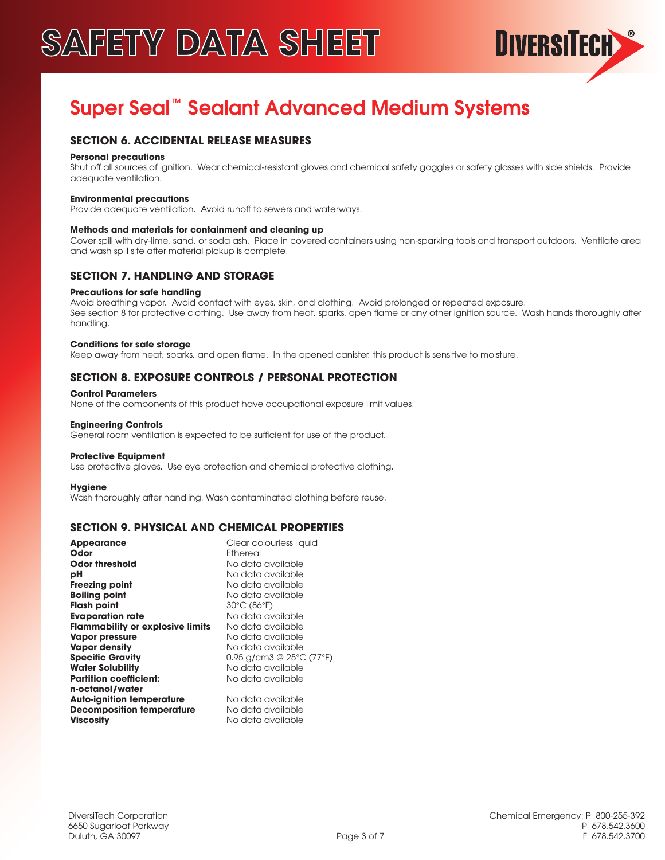

# Super Seal<sup>™</sup> Sealant Advanced Medium Systems

# **SECTION 6. ACCIDENTAL RELEASE MEASURES**

### **Personal precautions**

Shut off all sources of ignition. Wear chemical-resistant gloves and chemical safety goggles or safety glasses with side shields. Provide adequate ventilation.

### **Environmental precautions**

Provide adequate ventilation. Avoid runoff to sewers and waterways.

### **Methods and materials for containment and cleaning up**

Cover spill with dry-lime, sand, or soda ash. Place in covered containers using non-sparking tools and transport outdoors. Ventilate area and wash spill site after material pickup is complete.

### **SECTION 7. HANDLING AND STORAGE**

### **Precautions for safe handling**

Avoid breathing vapor. Avoid contact with eyes, skin, and clothing. Avoid prolonged or repeated exposure. See section 8 for protective clothing. Use away from heat, sparks, open flame or any other ignition source. Wash hands thoroughly after handling.

### **Conditions for safe storage**

Keep away from heat, sparks, and open flame. In the opened canister, this product is sensitive to moisture.

# **SECTION 8. EXPOSURE CONTROLS / PERSONAL PROTECTION**

### **Control Parameters**

None of the components of this product have occupational exposure limit values.

### **Engineering Controls**

General room ventilation is expected to be sufficient for use of the product.

### **Protective Equipment**

Use protective gloves. Use eye protection and chemical protective clothing.

### **Hygiene**

Wash thoroughly after handling. Wash contaminated clothing before reuse.

# **SECTION 9. PHYSICAL AND CHEMICAL PROPERTIES**

| <b>Appearance</b>                       | Clear colourless liquid    |
|-----------------------------------------|----------------------------|
| Odor                                    | Fthereal                   |
| <b>Odor threshold</b>                   | No data available          |
| рH                                      | No data available          |
| <b>Freezing point</b>                   | No data available          |
| <b>Boiling point</b>                    | No data available          |
| <b>Flash point</b>                      | 30°C (86°F)                |
| <b>Evaporation rate</b>                 | No data available          |
| <b>Flammability or explosive limits</b> | No data available          |
| <b>Vapor pressure</b>                   | No data available          |
| <b>Vapor density</b>                    | No data available          |
| <b>Specific Gravity</b>                 | $0.95$ g/cm3 @ 25°C (77°F) |
| <b>Water Solubility</b>                 | No data available          |
| <b>Partition coefficient:</b>           | No data available          |
| n-octanol/water                         |                            |
| <b>Auto-ignition temperature</b>        | No data available          |
| <b>Decomposition temperature</b>        | No data available          |
| <b>Viscositv</b>                        | No data available          |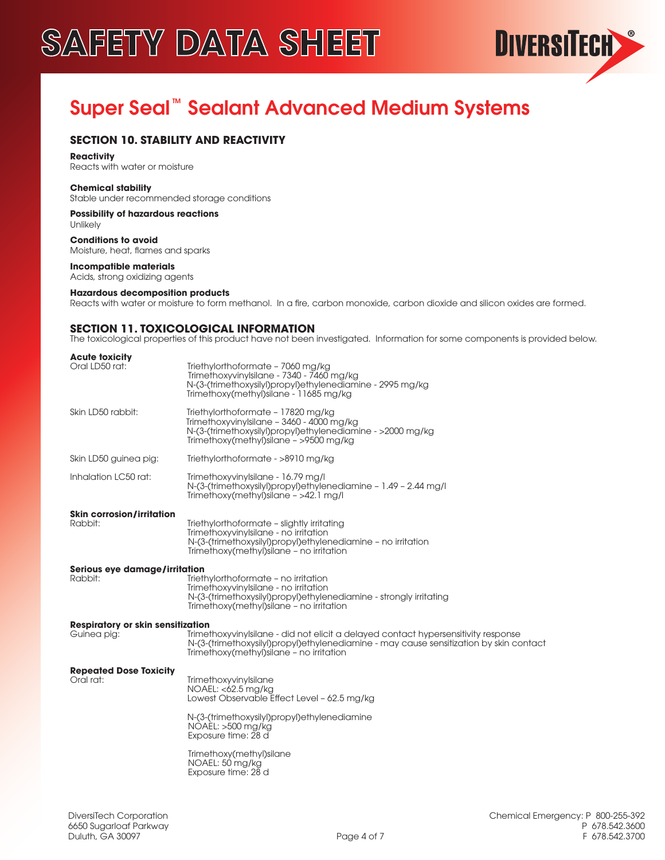

# Super Seal<sup>"</sup> Sealant Advanced Medium Systems

# **SECTION 10. STABILITY AND REACTIVITY**

### **Reactivity**

Reacts with water or moisture

### **Chemical stability**

Stable under recommended storage conditions

#### **Possibility of hazardous reactions** Unlikely

**Conditions to avoid** Moisture, heat, flames and sparks

### **Incompatible materials**

Acids, strong oxidizing agents

### **Hazardous decomposition products**

Reacts with water or moisture to form methanol. In a fire, carbon monoxide, carbon dioxide and silicon oxides are formed.

## **SECTION 11. TOXICOLOGICAL INFORMATION**

The toxicological properties of this product have not been investigated. Information for some components is provided below.

| <b>Acute toxicity</b><br>Oral LD50 rat:                 | Triethylorthoformate - 7060 mg/kg<br>Trimethoxyvinylsilane - 7340 - 7460 mg/kg<br>N-(3-(trimethoxysilyl)propyl)ethylenediamine - 2995 mg/kg<br>Trimethoxy(methyl) silane - 11685 mg/kg                                   |
|---------------------------------------------------------|--------------------------------------------------------------------------------------------------------------------------------------------------------------------------------------------------------------------------|
| Skin LD50 rabbit:                                       | Triethylorthoformate - 17820 mg/kg<br>Trimethoxyvinylsilane - 3460 - 4000 mg/kg<br>N-(3-(trimethoxysilyl)propyl)ethylenediamine - >2000 mg/kg<br>Trimethoxy(methyl)silane - >9500 mg/kg                                  |
| Skin LD50 guinea pig:                                   | Triethylorthoformate - >8910 mg/kg                                                                                                                                                                                       |
| Inhalation LC50 rat:                                    | Trimethoxyvinylsilane - 16.79 mg/l<br>N-(3-(trimethoxysilyl)propyl)ethylenediamine - 1.49 - 2.44 mg/l<br>Trimethoxy(methyl)silane - >42.1 mg/l                                                                           |
| <b>Skin corrosion/irritation</b><br>Rabbit:             | Triethylorthoformate - slightly irritating<br>TrimethoxyvinyIsilane - no irritation<br>N-(3-(trimethoxysilyl)propyl)ethylenediamine - no irritation<br>Trimethoxy(methyl)silane - no irritation                          |
| Serious eye damage/irritation<br>Rabbit:                | Triethylorthoformate - no irritation<br>Trimethoxyvinylsilane - no irritation<br>N-(3-(trimethoxysilyl)propyl)ethylenediamine - strongly irritating<br>Trimethoxy(methyl)silane - no irritation                          |
| <b>Respiratory or skin sensitization</b><br>Guinea pig: | Trimethoxyvinylsilane - did not elicit a delayed contact hypersensitivity response<br>N-(3-(trimethoxysilyl)propyl)ethylenediamine - may cause sensitization by skin contact<br>Trimethoxy(methyl)silane - no irritation |
| <b>Repeated Dose Toxicity</b><br>Oral rat:              | TrimethoxyvinyIsilane<br>NOAEL: <62.5 mg/kg<br>Lowest Observable Effect Level - 62.5 mg/kg                                                                                                                               |
|                                                         | N-(3-(trimethoxysilyl)propyl)ethylenediamine<br>$NOAEL: >500$ mg/kg<br>Exposure time: 28 d                                                                                                                               |
|                                                         | Trimethoxy(methyl)silane<br>NOAEL: 50 mg/kg<br>Exposure time: 28 d                                                                                                                                                       |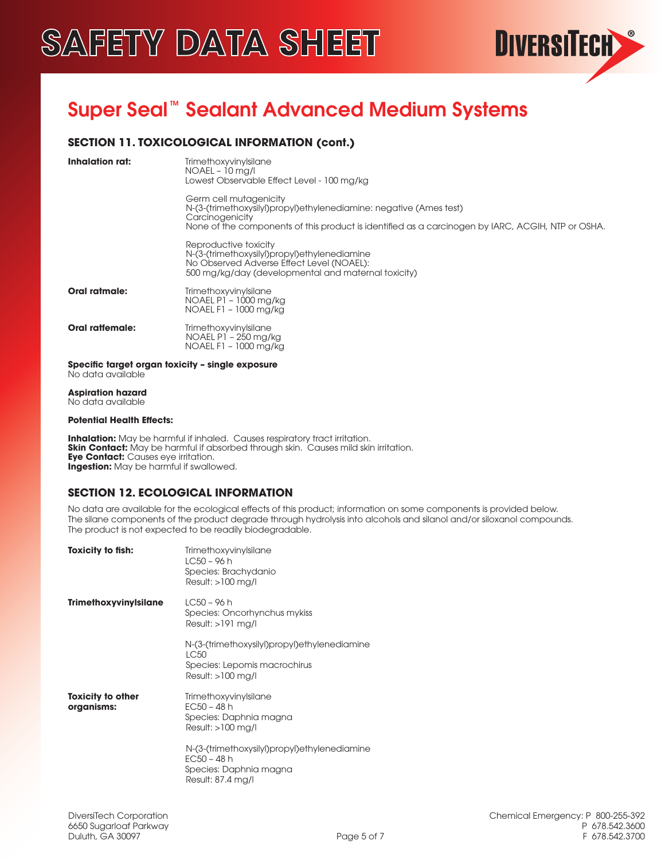

# Super Seal<sup>™</sup> Sealant Advanced Medium Systems

# **SECTION 11. TOXICOLOGICAL INFORMATION (cont.)**

| Inhalation rat:        | TrimethoxyvinyIsilane<br>$NOAEL - 10$ mg/l<br>Lowest Observable Effect Level - 100 mg/kg                                                                                                                             |
|------------------------|----------------------------------------------------------------------------------------------------------------------------------------------------------------------------------------------------------------------|
|                        | Germ cell mutagenicity<br>N-(3-(trimethoxysilyl)propyl)ethylenediamine: negative (Ames test)<br>Carcinogenicity<br>None of the components of this product is identified as a carcinogen by IARC, ACGIH, NTP or OSHA. |
|                        | Reproductive toxicity<br>N-(3-(trimethoxysilyl)propyl)ethylenediamine<br>No Observed Adverse Effect Level (NOAEL):<br>500 mg/kg/day (developmental and maternal toxicity)                                            |
| Oral ratmale:          | TrimethoxyvinyIsilane<br>NOAEL P1 - 1000 mg/kg<br>NOAEL F1 - 1000 mg/kg                                                                                                                                              |
| <b>Oral ratiomale:</b> | TrimethoxyvinyIsilane<br>NOAEL P1 - 250 mg/kg<br>NOAEL F1 - 1000 mg/kg                                                                                                                                               |

**Specific target organ toxicity – single exposure** No data available

**Aspiration hazard** No data available

### **Potential Health Effects:**

**Inhalation:** May be harmful if inhaled. Causes respiratory tract irritation. **Skin Contact:** May be harmful if absorbed through skin. Causes mild skin irritation. **Eye Contact:** Causes eye irritation. **Ingestion:** May be harmful if swallowed.

# **SECTION 12. ECOLOGICAL INFORMATION**

No data are available for the ecological effects of this product; information on some components is provided below. The silane components of the product degrade through hydrolysis into alcohols and silanol and/or siloxanol compounds. The product is not expected to be readily biodegradable.

| <b>Toxicity to fish:</b>               | TrimethoxyvinyIsilane<br>$LC50 - 96 h$<br>Species: Brachydanio<br>$Result: >100$ mg/l                        |
|----------------------------------------|--------------------------------------------------------------------------------------------------------------|
| <b>Trimethoxyvinylsilane</b>           | $LC50 - 96 h$<br>Species: Oncorhynchus mykiss<br>Result: >191 mg/l                                           |
|                                        | N-(3-(trimethoxysilyl)propyl)ethylenediamine<br>I C50<br>Species: Lepomis macrochirus<br>$Result: >100$ mg/l |
| <b>Toxicity to other</b><br>organisms: | TrimethoxyvinyIsilane<br>$EC50 - 48 h$<br>Species: Daphnia magna<br>$Result: >100$ mg/l                      |
|                                        | N-(3-(trimethoxysilyl)propyl)ethylenediamine<br>$EC50 - 48 h$<br>Species: Daphnia magna<br>Result: 87.4 mg/l |
|                                        |                                                                                                              |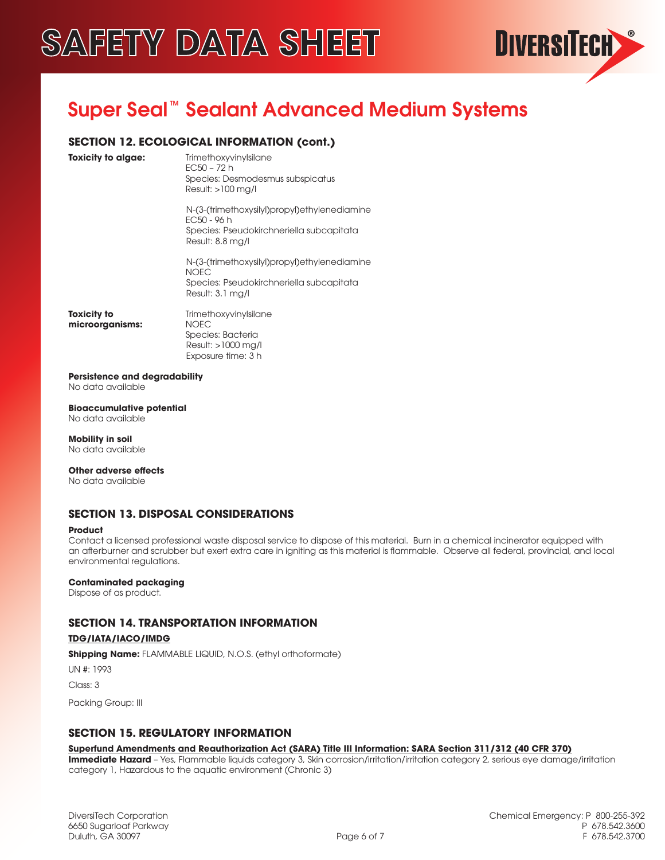

# Super Seal<sup>™</sup> Sealant Advanced Medium Systems

# **SECTION 12. ECOLOGICAL INFORMATION (cont.)**

**Toxicity to algae:** Trimethoxyvinylsilane EC50 – 72 h Species: Desmodesmus subspicatus Result: >100 mg/l

> N-(3-(trimethoxysilyl)propyl)ethylenediamine EC50 - 96 h Species: Pseudokirchneriella subcapitata Result: 8.8 mg/l

> N-(3-(trimethoxysilyl)propyl)ethylenediamine NOEC Species: Pseudokirchneriella subcapitata Result: 3.1 mg/l

**microorganisms:** NOEC

**Toxicity to TrimethoxyvinyIsilane**  Species: Bacteria Result: >1000 mg/l Exposure time: 3 h

**Persistence and degradability** No data available

**Bioaccumulative potential** No data available

**Mobility in soil** No data available

**Other adverse effects**

No data available

# **SECTION 13. DISPOSAL CONSIDERATIONS**

### **Product**

Contact a licensed professional waste disposal service to dispose of this material. Burn in a chemical incinerator equipped with an afterburner and scrubber but exert extra care in igniting as this material is flammable. Observe all federal, provincial, and local environmental regulations.

### **Contaminated packaging**

Dispose of as product.

# **SECTION 14. TRANSPORTATION INFORMATION**

### **TDG/IATA/IACO/IMDG**

**Shipping Name:** FLAMMABLE LIQUID, N.O.S. (ethyl orthoformate)

UN #: 1993

Class: 3

Packing Group: III

### **SECTION 15. REGULATORY INFORMATION**

### **Superfund Amendments and Reauthorization Act (SARA) Title III Information: SARA Section 311/312 (40 CFR 370)**

**Immediate Hazard** - Yes, Flammable liquids category 3, Skin corrosion/irritation/irritation category 2, serious eye damage/irritation category 1, Hazardous to the aquatic environment (Chronic 3)